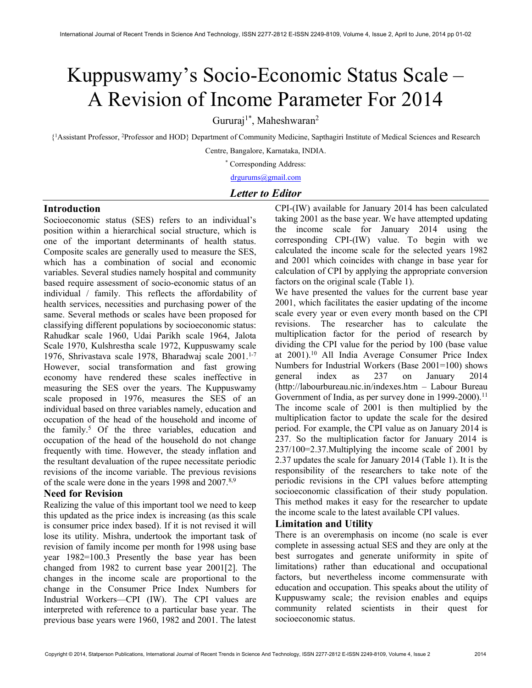# Kuppuswamy's Socio-Economic Status Scale – A Revision of Income Parameter For 2014

Gururaj<sup>1\*</sup>, Maheshwaran<sup>2</sup>

{ <sup>1</sup>Assistant Professor, <sup>2</sup>Professor and HOD} Department of Community Medicine, Sapthagiri Institute of Medical Sciences and Research

Centre, Bangalore, Karnataka, INDIA.

\* Corresponding Address:

drgurums@gmail.com

## Letter to Editor

## **Introduction**

Socioeconomic status (SES) refers to an individual's position within a hierarchical social structure, which is one of the important determinants of health status. Composite scales are generally used to measure the SES, which has a combination of social and economic variables. Several studies namely hospital and community based require assessment of socio-economic status of an individual / family. This reflects the affordability of health services, necessities and purchasing power of the same. Several methods or scales have been proposed for classifying different populations by socioeconomic status: Rahudkar scale 1960, Udai Parikh scale 1964, Jalota Scale 1970, Kulshrestha scale 1972, Kuppuswamy scale 1976, Shrivastava scale 1978, Bharadwaj scale  $2001$ .<sup>1-7</sup> However, social transformation and fast growing economy have rendered these scales ineffective in measuring the SES over the years. The Kuppuswamy scale proposed in 1976, measures the SES of an individual based on three variables namely, education and occupation of the head of the household and income of the family.<sup>5</sup> Of the three variables, education and occupation of the head of the household do not change frequently with time. However, the steady inflation and the resultant devaluation of the rupee necessitate periodic revisions of the income variable. The previous revisions of the scale were done in the years 1998 and 2007.<sup>8,9</sup>

## Need for Revision

Realizing the value of this important tool we need to keep this updated as the price index is increasing (as this scale is consumer price index based). If it is not revised it will lose its utility. Mishra, undertook the important task of revision of family income per month for 1998 using base year 1982=100.3 Presently the base year has been changed from 1982 to current base year 2001[2]. The changes in the income scale are proportional to the change in the Consumer Price Index Numbers for Industrial Workers—CPI (IW). The CPI values are interpreted with reference to a particular base year. The previous base years were 1960, 1982 and 2001. The latest

CPI-(IW) available for January 2014 has been calculated taking 2001 as the base year. We have attempted updating the income scale for January 2014 using the corresponding CPI-(IW) value. To begin with we calculated the income scale for the selected years 1982 and 2001 which coincides with change in base year for calculation of CPI by applying the appropriate conversion factors on the original scale (Table 1).

We have presented the values for the current base year 2001, which facilitates the easier updating of the income scale every year or even every month based on the CPI revisions. The researcher has to calculate the multiplication factor for the period of research by dividing the CPI value for the period by 100 (base value at 2001).<sup>10</sup>All India Average Consumer Price Index Numbers for Industrial Workers (Base 2001=100) shows general index as 237 on January 2014 (http://labourbureau.nic.in/indexes.htm – Labour Bureau Government of India, as per survey done in 1999-2000).<sup>11</sup> The income scale of 2001 is then multiplied by the multiplication factor to update the scale for the desired period. For example, the CPI value as on January 2014 is 237. So the multiplication factor for January 2014 is 237/100=2.37.Multiplying the income scale of 2001 by 2.37 updates the scale for January 2014 (Table 1). It is the responsibility of the researchers to take note of the periodic revisions in the CPI values before attempting socioeconomic classification of their study population. This method makes it easy for the researcher to update the income scale to the latest available CPI values.

## Limitation and Utility

There is an overemphasis on income (no scale is ever complete in assessing actual SES and they are only at the best surrogates and generate uniformity in spite of limitations) rather than educational and occupational factors, but nevertheless income commensurate with education and occupation. This speaks about the utility of Kuppuswamy scale; the revision enables and equips community related scientists in their quest for socioeconomic status.